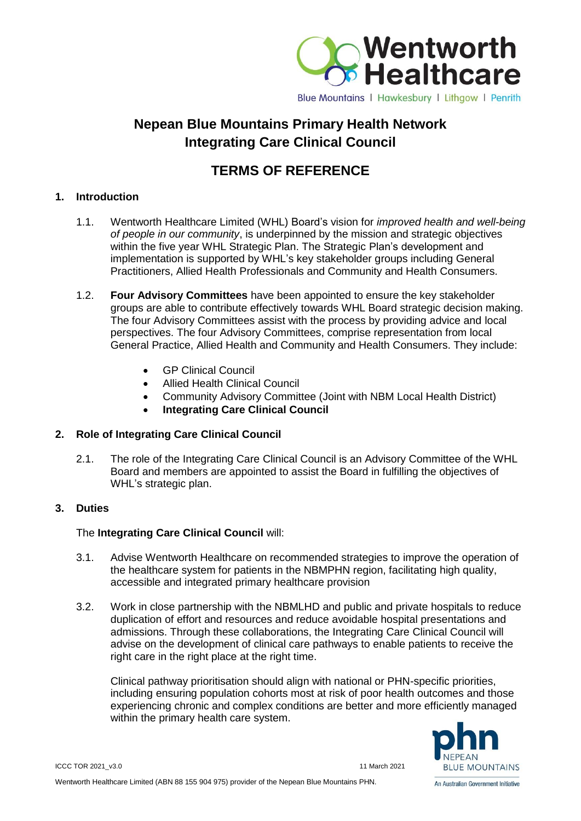

# **Nepean Blue Mountains Primary Health Network Integrating Care Clinical Council**

# **TERMS OF REFERENCE**

### **1. Introduction**

- 1.1. Wentworth Healthcare Limited (WHL) Board's vision for *improved health and well-being of people in our community*, is underpinned by the mission and strategic objectives within the five year WHL Strategic Plan. The Strategic Plan's development and implementation is supported by WHL's key stakeholder groups including General Practitioners, Allied Health Professionals and Community and Health Consumers.
- 1.2. **Four Advisory Committees** have been appointed to ensure the key stakeholder groups are able to contribute effectively towards WHL Board strategic decision making. The four Advisory Committees assist with the process by providing advice and local perspectives. The four Advisory Committees, comprise representation from local General Practice, Allied Health and Community and Health Consumers. They include:
	- GP Clinical Council
	- Allied Health Clinical Council
	- Community Advisory Committee (Joint with NBM Local Health District)
	- **Integrating Care Clinical Council**

## **2. Role of Integrating Care Clinical Council**

2.1. The role of the Integrating Care Clinical Council is an Advisory Committee of the WHL Board and members are appointed to assist the Board in fulfilling the objectives of WHL's strategic plan.

#### **3. Duties**

## The **Integrating Care Clinical Council** will:

- 3.1. Advise Wentworth Healthcare on recommended strategies to improve the operation of the healthcare system for patients in the NBMPHN region, facilitating high quality, accessible and integrated primary healthcare provision
- 3.2. Work in close partnership with the NBMLHD and public and private hospitals to reduce duplication of effort and resources and reduce avoidable hospital presentations and admissions. Through these collaborations, the Integrating Care Clinical Council will advise on the development of clinical care pathways to enable patients to receive the right care in the right place at the right time.

Clinical pathway prioritisation should align with national or PHN-specific priorities, including ensuring population cohorts most at risk of poor health outcomes and those experiencing chronic and complex conditions are better and more efficiently managed within the primary health care system.



An Australian Government Initiative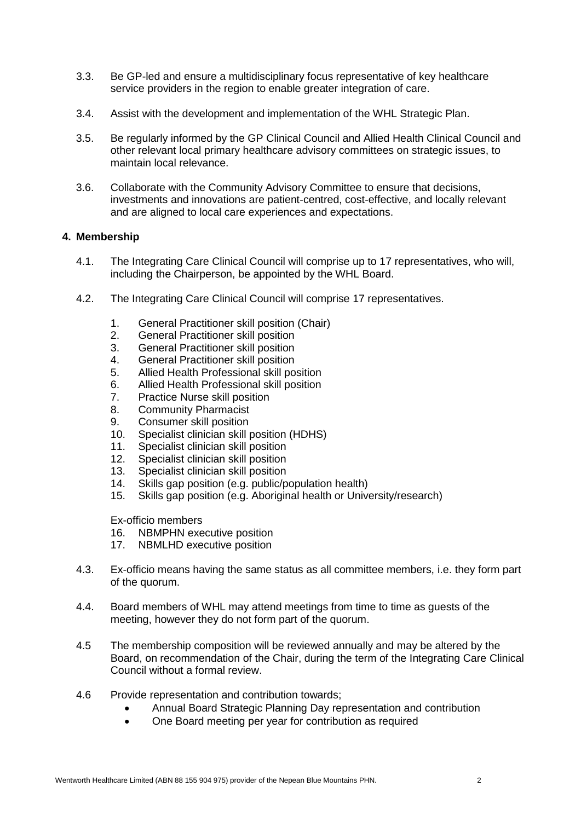- 3.3. Be GP-led and ensure a multidisciplinary focus representative of key healthcare service providers in the region to enable greater integration of care.
- 3.4. Assist with the development and implementation of the WHL Strategic Plan.
- 3.5. Be regularly informed by the GP Clinical Council and Allied Health Clinical Council and other relevant local primary healthcare advisory committees on strategic issues, to maintain local relevance.
- 3.6. Collaborate with the Community Advisory Committee to ensure that decisions, investments and innovations are patient-centred, cost-effective, and locally relevant and are aligned to local care experiences and expectations.

#### **4. Membership**

- 4.1. The Integrating Care Clinical Council will comprise up to 17 representatives, who will, including the Chairperson, be appointed by the WHL Board.
- 4.2. The Integrating Care Clinical Council will comprise 17 representatives.
	- 1. General Practitioner skill position (Chair)
	- 2. General Practitioner skill position
	- 3. General Practitioner skill position
	- 4. General Practitioner skill position
	- 5. Allied Health Professional skill position
	- 6. Allied Health Professional skill position
	- 7. Practice Nurse skill position
	- 8. Community Pharmacist
	- 9. Consumer skill position
	- 10. Specialist clinician skill position (HDHS)
	- 11. Specialist clinician skill position
	- 12. Specialist clinician skill position
	- 13. Specialist clinician skill position
	- 14. Skills gap position (e.g. public/population health)
	- 15. Skills gap position (e.g. Aboriginal health or University/research)

Ex-officio members

- 16. NBMPHN executive position
- 17. NBMLHD executive position
- 4.3. Ex-officio means having the same status as all committee members, i.e. they form part of the quorum.
- 4.4. Board members of WHL may attend meetings from time to time as guests of the meeting, however they do not form part of the quorum.
- 4.5 The membership composition will be reviewed annually and may be altered by the Board, on recommendation of the Chair, during the term of the Integrating Care Clinical Council without a formal review.
- 4.6 Provide representation and contribution towards;
	- Annual Board Strategic Planning Day representation and contribution
	- One Board meeting per year for contribution as required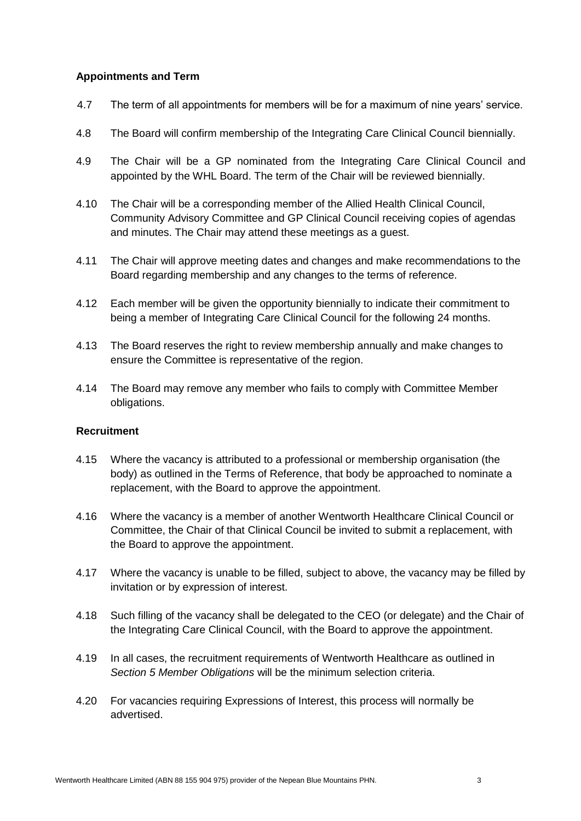#### **Appointments and Term**

- 4.7 The term of all appointments for members will be for a maximum of nine years' service.
- 4.8 The Board will confirm membership of the Integrating Care Clinical Council biennially.
- 4.9 The Chair will be a GP nominated from the Integrating Care Clinical Council and appointed by the WHL Board. The term of the Chair will be reviewed biennially.
- 4.10 The Chair will be a corresponding member of the Allied Health Clinical Council, Community Advisory Committee and GP Clinical Council receiving copies of agendas and minutes. The Chair may attend these meetings as a guest.
- 4.11 The Chair will approve meeting dates and changes and make recommendations to the Board regarding membership and any changes to the terms of reference.
- 4.12 Each member will be given the opportunity biennially to indicate their commitment to being a member of Integrating Care Clinical Council for the following 24 months.
- 4.13 The Board reserves the right to review membership annually and make changes to ensure the Committee is representative of the region.
- 4.14 The Board may remove any member who fails to comply with Committee Member obligations.

#### **Recruitment**

- 4.15 Where the vacancy is attributed to a professional or membership organisation (the body) as outlined in the Terms of Reference, that body be approached to nominate a replacement, with the Board to approve the appointment.
- 4.16 Where the vacancy is a member of another Wentworth Healthcare Clinical Council or Committee, the Chair of that Clinical Council be invited to submit a replacement, with the Board to approve the appointment.
- 4.17 Where the vacancy is unable to be filled, subject to above, the vacancy may be filled by invitation or by expression of interest.
- 4.18 Such filling of the vacancy shall be delegated to the CEO (or delegate) and the Chair of the Integrating Care Clinical Council, with the Board to approve the appointment.
- 4.19 In all cases, the recruitment requirements of Wentworth Healthcare as outlined in *Section 5 Member Obligations* will be the minimum selection criteria.
- 4.20 For vacancies requiring Expressions of Interest, this process will normally be advertised.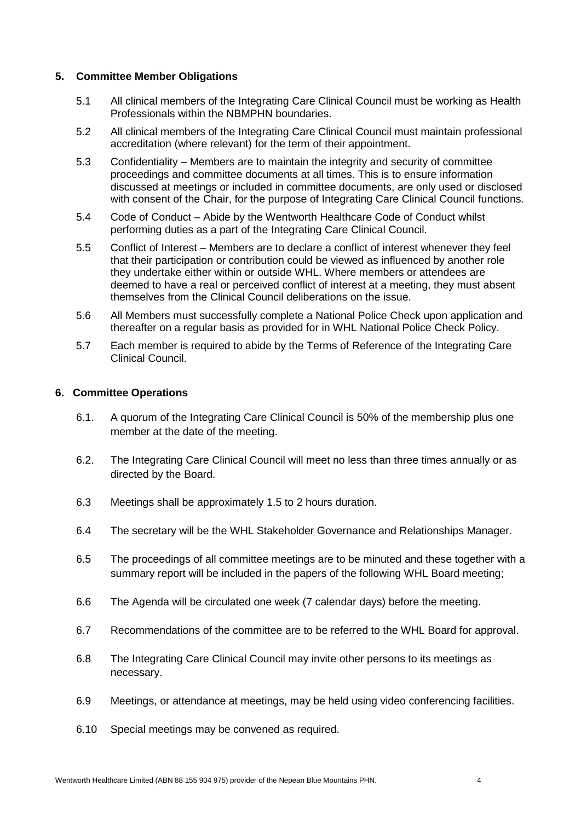#### **5. Committee Member Obligations**

- 5.1 All clinical members of the Integrating Care Clinical Council must be working as Health Professionals within the NBMPHN boundaries.
- 5.2 All clinical members of the Integrating Care Clinical Council must maintain professional accreditation (where relevant) for the term of their appointment.
- 5.3 Confidentiality Members are to maintain the integrity and security of committee proceedings and committee documents at all times. This is to ensure information discussed at meetings or included in committee documents, are only used or disclosed with consent of the Chair, for the purpose of Integrating Care Clinical Council functions.
- 5.4 Code of Conduct Abide by the Wentworth Healthcare Code of Conduct whilst performing duties as a part of the Integrating Care Clinical Council.
- 5.5 Conflict of Interest Members are to declare a conflict of interest whenever they feel that their participation or contribution could be viewed as influenced by another role they undertake either within or outside WHL. Where members or attendees are deemed to have a real or perceived conflict of interest at a meeting, they must absent themselves from the Clinical Council deliberations on the issue.
- 5.6 All Members must successfully complete a National Police Check upon application and thereafter on a regular basis as provided for in WHL National Police Check Policy.
- 5.7 Each member is required to abide by the Terms of Reference of the Integrating Care Clinical Council.

#### **6. Committee Operations**

- 6.1. A quorum of the Integrating Care Clinical Council is 50% of the membership plus one member at the date of the meeting.
- 6.2. The Integrating Care Clinical Council will meet no less than three times annually or as directed by the Board.
- 6.3 Meetings shall be approximately 1.5 to 2 hours duration.
- 6.4 The secretary will be the WHL Stakeholder Governance and Relationships Manager.
- 6.5 The proceedings of all committee meetings are to be minuted and these together with a summary report will be included in the papers of the following WHL Board meeting;
- 6.6 The Agenda will be circulated one week (7 calendar days) before the meeting.
- 6.7 Recommendations of the committee are to be referred to the WHL Board for approval.
- 6.8 The Integrating Care Clinical Council may invite other persons to its meetings as necessary.
- 6.9 Meetings, or attendance at meetings, may be held using video conferencing facilities.
- 6.10 Special meetings may be convened as required.